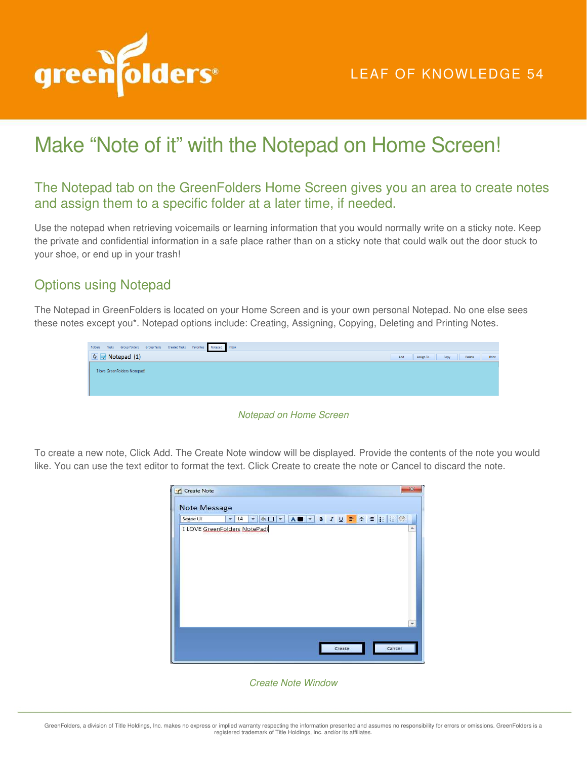

## Make "Note of it" with the Notepad on Home Screen!

## The Notepad tab on the GreenFolders Home Screen gives you an area to create notes and assign them to a specific folder at a later time, if needed.

Use the notepad when retrieving voicemails or learning information that you would normally write on a sticky note. Keep the private and confidential information in a safe place rather than on a sticky note that could walk out the door stuck to your shoe, or end up in your trash!

## Options using Notepad

The Notepad in GreenFolders is located on your Home Screen and is your own personal Notepad. No one else sees these notes except you\*. Notepad options include: Creating, Assigning, Copying, Deleting and Printing Notes.

| Folders Tasks Group Folders Group Tasks Created Tasks Favorites Notepad Inbox |     |           |      |        |       |
|-------------------------------------------------------------------------------|-----|-----------|------|--------|-------|
| $\bullet$ Notepad (1)                                                         | Add | Assign To | Copy | Delete | Print |
| I love GreenFolders Notepad!                                                  |     |           |      |        |       |
|                                                                               |     |           |      |        |       |
|                                                                               |     |           |      |        |       |
|                                                                               |     |           |      |        |       |

Notepad on Home Screen

To create a new note, Click Add. The Create Note window will be displayed. Provide the contents of the note you would like. You can use the text editor to format the text. Click Create to create the note or Cancel to discard the note.

| Create Note<br>Note Message                     |                                |                             |                             |                   |        | 28     |
|-------------------------------------------------|--------------------------------|-----------------------------|-----------------------------|-------------------|--------|--------|
| Segoe UI<br><b>I LOVE GreenFolders NotePad!</b> | 14<br>$\overline{\phantom{a}}$ | のロマ<br>$\blacktriangledown$ | $\Lambda$<br>$\blacksquare$ | B 7 以 事 第 章 挂 进 燃 |        | ۰      |
|                                                 |                                |                             |                             |                   |        |        |
|                                                 |                                |                             |                             |                   |        |        |
|                                                 |                                |                             |                             |                   |        |        |
|                                                 |                                |                             |                             |                   |        |        |
|                                                 |                                |                             |                             |                   |        |        |
|                                                 |                                |                             |                             |                   | Create | Cancel |

## Create Note Window

GreenFolders, a division of Title Holdings, Inc. makes no express or implied warranty respecting the information presented and assumes no responsibility for errors or omissions. GreenFolders is a<br>registered trademark of Ti